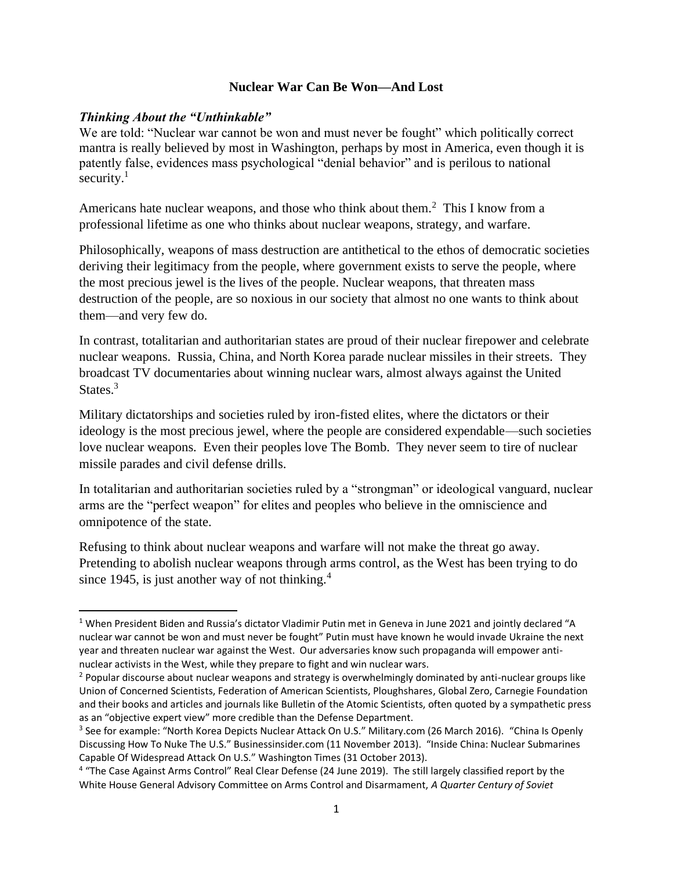#### **Nuclear War Can Be Won—And Lost**

#### *Thinking About the "Unthinkable"*

We are told: "Nuclear war cannot be won and must never be fought" which politically correct mantra is really believed by most in Washington, perhaps by most in America, even though it is patently false, evidences mass psychological "denial behavior" and is perilous to national security. $1$ 

Americans hate nuclear weapons, and those who think about them.<sup>2</sup> This I know from a professional lifetime as one who thinks about nuclear weapons, strategy, and warfare.

Philosophically, weapons of mass destruction are antithetical to the ethos of democratic societies deriving their legitimacy from the people, where government exists to serve the people, where the most precious jewel is the lives of the people. Nuclear weapons, that threaten mass destruction of the people, are so noxious in our society that almost no one wants to think about them—and very few do.

In contrast, totalitarian and authoritarian states are proud of their nuclear firepower and celebrate nuclear weapons. Russia, China, and North Korea parade nuclear missiles in their streets. They broadcast TV documentaries about winning nuclear wars, almost always against the United States. $3$ 

Military dictatorships and societies ruled by iron-fisted elites, where the dictators or their ideology is the most precious jewel, where the people are considered expendable—such societies love nuclear weapons. Even their peoples love The Bomb. They never seem to tire of nuclear missile parades and civil defense drills.

In totalitarian and authoritarian societies ruled by a "strongman" or ideological vanguard, nuclear arms are the "perfect weapon" for elites and peoples who believe in the omniscience and omnipotence of the state.

Refusing to think about nuclear weapons and warfare will not make the threat go away. Pretending to abolish nuclear weapons through arms control, as the West has been trying to do since 1945, is just another way of not thinking.<sup>4</sup>

<sup>&</sup>lt;sup>1</sup> When President Biden and Russia's dictator Vladimir Putin met in Geneva in June 2021 and jointly declared "A nuclear war cannot be won and must never be fought" Putin must have known he would invade Ukraine the next year and threaten nuclear war against the West. Our adversaries know such propaganda will empower antinuclear activists in the West, while they prepare to fight and win nuclear wars.

<sup>&</sup>lt;sup>2</sup> Popular discourse about nuclear weapons and strategy is overwhelmingly dominated by anti-nuclear groups like Union of Concerned Scientists, Federation of American Scientists, Ploughshares, Global Zero, Carnegie Foundation and their books and articles and journals like Bulletin of the Atomic Scientists, often quoted by a sympathetic press as an "objective expert view" more credible than the Defense Department.

<sup>&</sup>lt;sup>3</sup> See for example: "North Korea Depicts Nuclear Attack On U.S." Military.com (26 March 2016). "China Is Openly Discussing How To Nuke The U.S." Businessinsider.com (11 November 2013). "Inside China: Nuclear Submarines Capable Of Widespread Attack On U.S." Washington Times (31 October 2013).

<sup>&</sup>lt;sup>4</sup> "The Case Against Arms Control" Real Clear Defense (24 June 2019). The still largely classified report by the White House General Advisory Committee on Arms Control and Disarmament, *A Quarter Century of Soviet*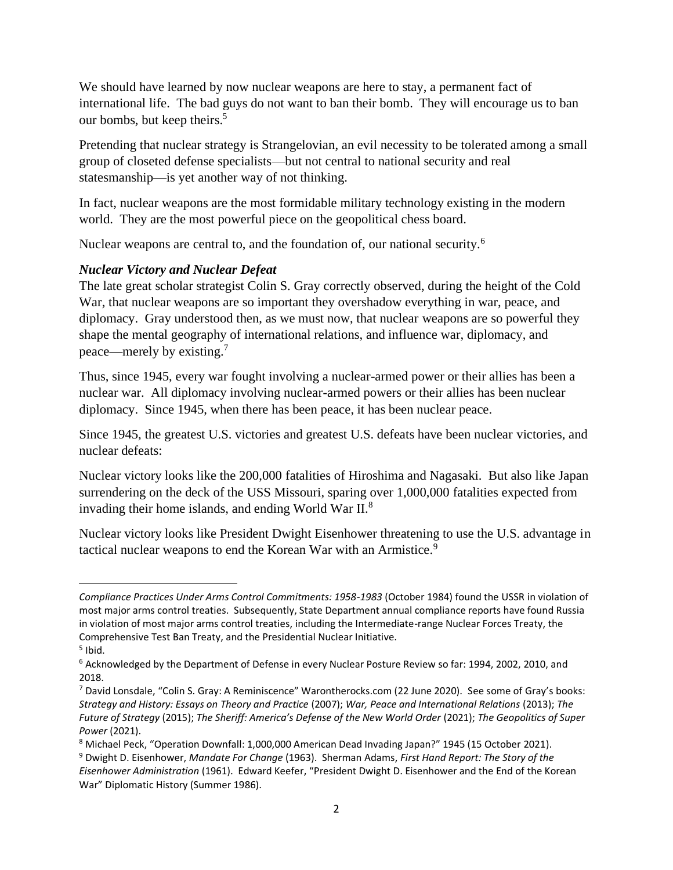We should have learned by now nuclear weapons are here to stay, a permanent fact of international life. The bad guys do not want to ban their bomb. They will encourage us to ban our bombs, but keep theirs.<sup>5</sup>

Pretending that nuclear strategy is Strangelovian, an evil necessity to be tolerated among a small group of closeted defense specialists—but not central to national security and real statesmanship—is yet another way of not thinking.

In fact, nuclear weapons are the most formidable military technology existing in the modern world. They are the most powerful piece on the geopolitical chess board.

Nuclear weapons are central to, and the foundation of, our national security.<sup>6</sup>

## *Nuclear Victory and Nuclear Defeat*

The late great scholar strategist Colin S. Gray correctly observed, during the height of the Cold War, that nuclear weapons are so important they overshadow everything in war, peace, and diplomacy. Gray understood then, as we must now, that nuclear weapons are so powerful they shape the mental geography of international relations, and influence war, diplomacy, and peace—merely by existing.<sup>7</sup>

Thus, since 1945, every war fought involving a nuclear-armed power or their allies has been a nuclear war. All diplomacy involving nuclear-armed powers or their allies has been nuclear diplomacy. Since 1945, when there has been peace, it has been nuclear peace.

Since 1945, the greatest U.S. victories and greatest U.S. defeats have been nuclear victories, and nuclear defeats:

Nuclear victory looks like the 200,000 fatalities of Hiroshima and Nagasaki. But also like Japan surrendering on the deck of the USS Missouri, sparing over 1,000,000 fatalities expected from invading their home islands, and ending World War II.<sup>8</sup>

Nuclear victory looks like President Dwight Eisenhower threatening to use the U.S. advantage in tactical nuclear weapons to end the Korean War with an Armistice.<sup>9</sup>

*Compliance Practices Under Arms Control Commitments: 1958-1983* (October 1984) found the USSR in violation of most major arms control treaties. Subsequently, State Department annual compliance reports have found Russia in violation of most major arms control treaties, including the Intermediate-range Nuclear Forces Treaty, the Comprehensive Test Ban Treaty, and the Presidential Nuclear Initiative.

<sup>&</sup>lt;sup>5</sup> Ibid.

<sup>&</sup>lt;sup>6</sup> Acknowledged by the Department of Defense in every Nuclear Posture Review so far: 1994, 2002, 2010, and 2018.

<sup>7</sup> David Lonsdale, "Colin S. Gray: A Reminiscence" Warontherocks.com (22 June 2020). See some of Gray's books: *Strategy and History: Essays on Theory and Practice* (2007); *War, Peace and International Relations* (2013); *The Future of Strategy (2015); The Sheriff: America's Defense of the New World Order (2021); The Geopolitics of Super Power* (2021).

<sup>8</sup> Michael Peck, "Operation Downfall: 1,000,000 American Dead Invading Japan?" 1945 (15 October 2021).

<sup>9</sup> Dwight D. Eisenhower, *Mandate For Change* (1963). Sherman Adams, *First Hand Report: The Story of the Eisenhower Administration* (1961). Edward Keefer, "President Dwight D. Eisenhower and the End of the Korean War" Diplomatic History (Summer 1986).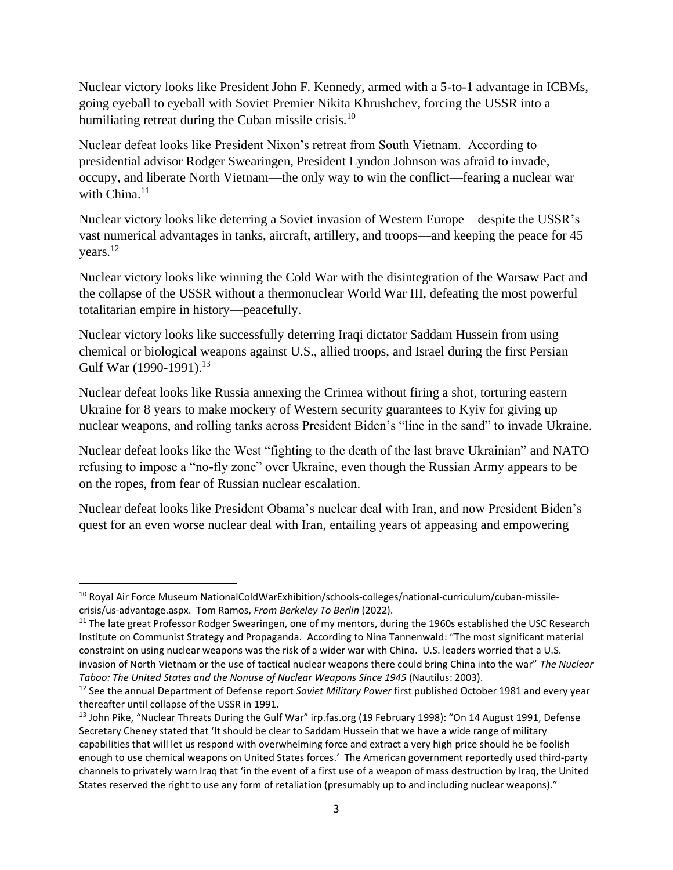Nuclear victory looks like President John F. Kennedy, armed with a 5-to-1 advantage in ICBMs, going eyeball to eyeball with Soviet Premier Nikita Khrushchev, forcing the USSR into a humiliating retreat during the Cuban missile crisis.<sup>10</sup>

Nuclear defeat looks like President Nixon's retreat from South Vietnam. According to presidential advisor Rodger Swearingen, President Lyndon Johnson was afraid to invade, occupy, and liberate North Vietnam—the only way to win the conflict—fearing a nuclear war with China. $11$ 

Nuclear victory looks like deterring a Soviet invasion of Western Europe—despite the USSR's vast numerical advantages in tanks, aircraft, artillery, and troops—and keeping the peace for 45 years.<sup>12</sup>

Nuclear victory looks like winning the Cold War with the disintegration of the Warsaw Pact and the collapse of the USSR without a thermonuclear World War III, defeating the most powerful totalitarian empire in history—peacefully.

Nuclear victory looks like successfully deterring Iraqi dictator Saddam Hussein from using chemical or biological weapons against U.S., allied troops, and Israel during the first Persian Gulf War (1990-1991).<sup>13</sup>

Nuclear defeat looks like Russia annexing the Crimea without firing a shot, torturing eastern Ukraine for 8 years to make mockery of Western security guarantees to Kyiv for giving up nuclear weapons, and rolling tanks across President Biden's "line in the sand" to invade Ukraine.

Nuclear defeat looks like the West "fighting to the death of the last brave Ukrainian" and NATO refusing to impose a "no-fly zone" over Ukraine, even though the Russian Army appears to be on the ropes, from fear of Russian nuclear escalation.

Nuclear defeat looks like President Obama's nuclear deal with Iran, and now President Biden's quest for an even worse nuclear deal with Iran, entailing years of appeasing and empowering

<sup>&</sup>lt;sup>10</sup> Royal Air Force Museum NationalColdWarExhibition/schools-colleges/national-curriculum/cuban-missilecrisis/us-advantage.aspx. Tom Ramos, *From Berkeley To Berlin* (2022).

 $11$  The late great Professor Rodger Swearingen, one of my mentors, during the 1960s established the USC Research Institute on Communist Strategy and Propaganda. According to Nina Tannenwald: "The most significant material constraint on using nuclear weapons was the risk of a wider war with China. U.S. leaders worried that a U.S. invasion of North Vietnam or the use of tactical nuclear weapons there could bring China into the war" *The Nuclear Taboo: The United States and the Nonuse of Nuclear Weapons Since 1945* (Nautilus: 2003).

<sup>12</sup> See the annual Department of Defense report *Soviet Military Power* first published October 1981 and every year thereafter until collapse of the USSR in 1991.

<sup>&</sup>lt;sup>13</sup> John Pike, "Nuclear Threats During the Gulf War" irp.fas.org (19 February 1998): "On 14 August 1991, Defense Secretary Cheney stated that 'It should be clear to Saddam Hussein that we have a wide range of military capabilities that will let us respond with overwhelming force and extract a very high price should he be foolish enough to use chemical weapons on United States forces.' The American government reportedly used third-party channels to privately warn Iraq that 'in the event of a first use of a weapon of mass destruction by Iraq, the United States reserved the right to use any form of retaliation (presumably up to and including nuclear weapons)."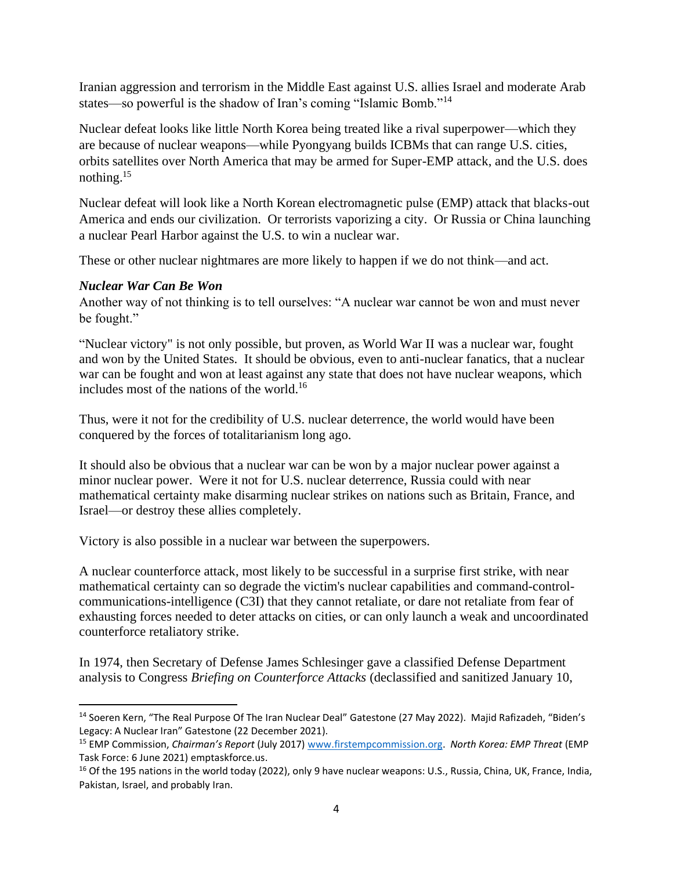Iranian aggression and terrorism in the Middle East against U.S. allies Israel and moderate Arab states—so powerful is the shadow of Iran's coming "Islamic Bomb."<sup>14</sup>

Nuclear defeat looks like little North Korea being treated like a rival superpower—which they are because of nuclear weapons—while Pyongyang builds ICBMs that can range U.S. cities, orbits satellites over North America that may be armed for Super-EMP attack, and the U.S. does nothing.<sup>15</sup>

Nuclear defeat will look like a North Korean electromagnetic pulse (EMP) attack that blacks-out America and ends our civilization. Or terrorists vaporizing a city. Or Russia or China launching a nuclear Pearl Harbor against the U.S. to win a nuclear war.

These or other nuclear nightmares are more likely to happen if we do not think—and act.

# *Nuclear War Can Be Won*

Another way of not thinking is to tell ourselves: "A nuclear war cannot be won and must never be fought."

"Nuclear victory" is not only possible, but proven, as World War II was a nuclear war, fought and won by the United States. It should be obvious, even to anti-nuclear fanatics, that a nuclear war can be fought and won at least against any state that does not have nuclear weapons, which includes most of the nations of the world.<sup>16</sup>

Thus, were it not for the credibility of U.S. nuclear deterrence, the world would have been conquered by the forces of totalitarianism long ago.

It should also be obvious that a nuclear war can be won by a major nuclear power against a minor nuclear power. Were it not for U.S. nuclear deterrence, Russia could with near mathematical certainty make disarming nuclear strikes on nations such as Britain, France, and Israel—or destroy these allies completely.

Victory is also possible in a nuclear war between the superpowers.

A nuclear counterforce attack, most likely to be successful in a surprise first strike, with near mathematical certainty can so degrade the victim's nuclear capabilities and command-controlcommunications-intelligence (C3I) that they cannot retaliate, or dare not retaliate from fear of exhausting forces needed to deter attacks on cities, or can only launch a weak and uncoordinated counterforce retaliatory strike.

In 1974, then Secretary of Defense James Schlesinger gave a classified Defense Department analysis to Congress *Briefing on Counterforce Attacks* (declassified and sanitized January 10,

<sup>&</sup>lt;sup>14</sup> Soeren Kern, "The Real Purpose Of The Iran Nuclear Deal" Gatestone (27 May 2022). Majid Rafizadeh, "Biden's Legacy: A Nuclear Iran" Gatestone (22 December 2021).

<sup>15</sup> EMP Commission, *Chairman's Report* (July 2017[\) www.firstempcommission.org.](http://www.firstempcommission.org/) *North Korea: EMP Threat* (EMP Task Force: 6 June 2021) emptaskforce.us.

<sup>&</sup>lt;sup>16</sup> Of the 195 nations in the world today (2022), only 9 have nuclear weapons: U.S., Russia, China, UK, France, India, Pakistan, Israel, and probably Iran.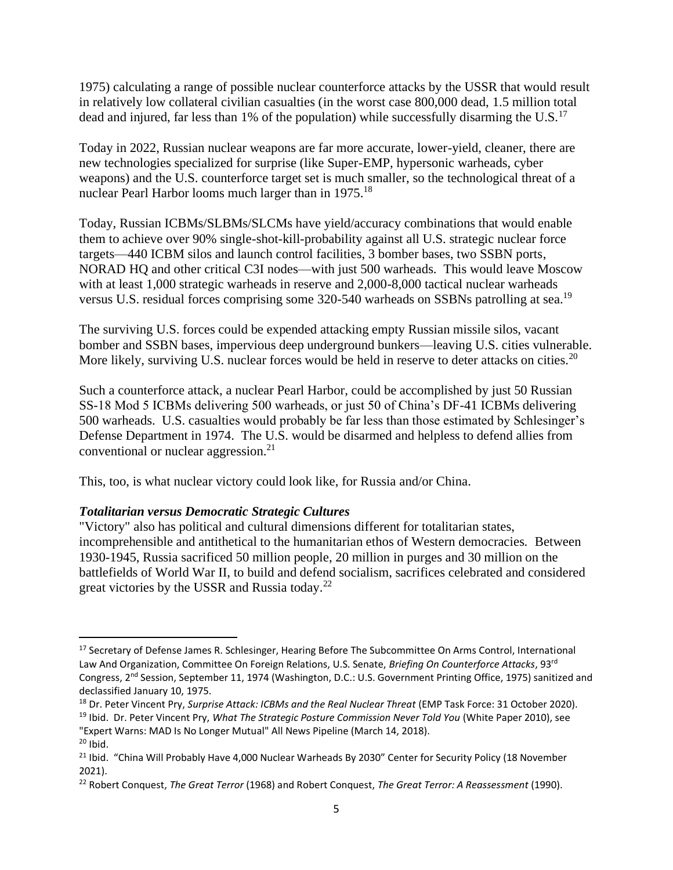1975) calculating a range of possible nuclear counterforce attacks by the USSR that would result in relatively low collateral civilian casualties (in the worst case 800,000 dead, 1.5 million total dead and injured, far less than 1% of the population) while successfully disarming the U.S.<sup>17</sup>

Today in 2022, Russian nuclear weapons are far more accurate, lower-yield, cleaner, there are new technologies specialized for surprise (like Super-EMP, hypersonic warheads, cyber weapons) and the U.S. counterforce target set is much smaller, so the technological threat of a nuclear Pearl Harbor looms much larger than in 1975.<sup>18</sup>

Today, Russian ICBMs/SLBMs/SLCMs have yield/accuracy combinations that would enable them to achieve over 90% single-shot-kill-probability against all U.S. strategic nuclear force targets—440 ICBM silos and launch control facilities, 3 bomber bases, two SSBN ports, NORAD HQ and other critical C3I nodes—with just 500 warheads. This would leave Moscow with at least 1,000 strategic warheads in reserve and 2,000-8,000 tactical nuclear warheads versus U.S. residual forces comprising some 320-540 warheads on SSBNs patrolling at sea.<sup>19</sup>

The surviving U.S. forces could be expended attacking empty Russian missile silos, vacant bomber and SSBN bases, impervious deep underground bunkers—leaving U.S. cities vulnerable. More likely, surviving U.S. nuclear forces would be held in reserve to deter attacks on cities.<sup>20</sup>

Such a counterforce attack, a nuclear Pearl Harbor, could be accomplished by just 50 Russian SS-18 Mod 5 ICBMs delivering 500 warheads, or just 50 of China's DF-41 ICBMs delivering 500 warheads. U.S. casualties would probably be far less than those estimated by Schlesinger's Defense Department in 1974. The U.S. would be disarmed and helpless to defend allies from conventional or nuclear aggression.<sup>21</sup>

This, too, is what nuclear victory could look like, for Russia and/or China.

### *Totalitarian versus Democratic Strategic Cultures*

"Victory" also has political and cultural dimensions different for totalitarian states, incomprehensible and antithetical to the humanitarian ethos of Western democracies. Between 1930-1945, Russia sacrificed 50 million people, 20 million in purges and 30 million on the battlefields of World War II, to build and defend socialism, sacrifices celebrated and considered great victories by the USSR and Russia today.<sup>22</sup>

<sup>&</sup>lt;sup>17</sup> Secretary of Defense James R. Schlesinger, Hearing Before The Subcommittee On Arms Control, International Law And Organization, Committee On Foreign Relations, U.S. Senate, *Briefing On Counterforce Attacks*, 93rd Congress, 2nd Session, September 11, 1974 (Washington, D.C.: U.S. Government Printing Office, 1975) sanitized and declassified January 10, 1975.

<sup>&</sup>lt;sup>18</sup> Dr. Peter Vincent Pry, Surprise Attack: ICBMs and the Real Nuclear Threat (EMP Task Force: 31 October 2020).

<sup>19</sup> Ibid. Dr. Peter Vincent Pry, *What The Strategic Posture Commission Never Told You* (White Paper 2010), see "Expert Warns: MAD Is No Longer Mutual" All News Pipeline (March 14, 2018).

 $20$  Ibid.

<sup>&</sup>lt;sup>21</sup> Ibid. "China Will Probably Have 4,000 Nuclear Warheads By 2030" Center for Security Policy (18 November 2021).

<sup>22</sup> Robert Conquest, *The Great Terror* (1968) and Robert Conquest, *The Great Terror: A Reassessment* (1990).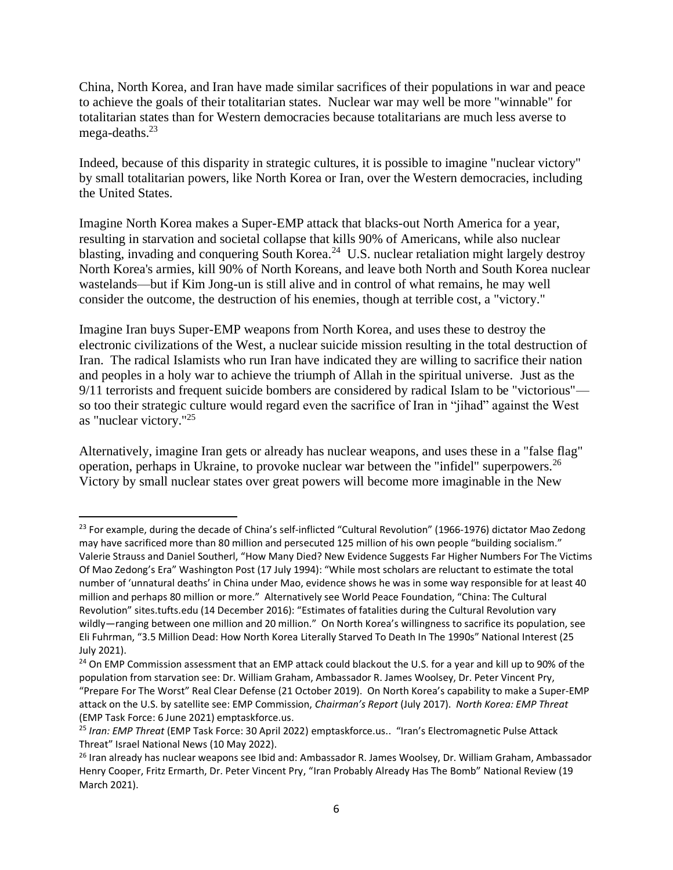China, North Korea, and Iran have made similar sacrifices of their populations in war and peace to achieve the goals of their totalitarian states. Nuclear war may well be more "winnable" for totalitarian states than for Western democracies because totalitarians are much less averse to mega-deaths. $23$ 

Indeed, because of this disparity in strategic cultures, it is possible to imagine "nuclear victory" by small totalitarian powers, like North Korea or Iran, over the Western democracies, including the United States.

Imagine North Korea makes a Super-EMP attack that blacks-out North America for a year, resulting in starvation and societal collapse that kills 90% of Americans, while also nuclear blasting, invading and conquering South Korea.<sup>24</sup> U.S. nuclear retaliation might largely destroy North Korea's armies, kill 90% of North Koreans, and leave both North and South Korea nuclear wastelands—but if Kim Jong-un is still alive and in control of what remains, he may well consider the outcome, the destruction of his enemies, though at terrible cost, a "victory."

Imagine Iran buys Super-EMP weapons from North Korea, and uses these to destroy the electronic civilizations of the West, a nuclear suicide mission resulting in the total destruction of Iran. The radical Islamists who run Iran have indicated they are willing to sacrifice their nation and peoples in a holy war to achieve the triumph of Allah in the spiritual universe. Just as the 9/11 terrorists and frequent suicide bombers are considered by radical Islam to be "victorious" so too their strategic culture would regard even the sacrifice of Iran in "jihad" against the West as "nuclear victory."<sup>25</sup>

Alternatively, imagine Iran gets or already has nuclear weapons, and uses these in a "false flag" operation, perhaps in Ukraine, to provoke nuclear war between the "infidel" superpowers.<sup>26</sup> Victory by small nuclear states over great powers will become more imaginable in the New

 $^{23}$  For example, during the decade of China's self-inflicted "Cultural Revolution" (1966-1976) dictator Mao Zedong may have sacrificed more than 80 million and persecuted 125 million of his own people "building socialism." Valerie Strauss and Daniel Southerl, "How Many Died? New Evidence Suggests Far Higher Numbers For The Victims Of Mao Zedong's Era" Washington Post (17 July 1994): "While most scholars are reluctant to estimate the total number of 'unnatural deaths' in China under Mao, evidence shows he was in some way responsible for at least 40 million and perhaps 80 million or more." Alternatively see World Peace Foundation, "China: The Cultural Revolution" sites.tufts.edu (14 December 2016): "Estimates of fatalities during the Cultural Revolution vary wildly—ranging between one million and 20 million." On North Korea's willingness to sacrifice its population, see Eli Fuhrman, "3.5 Million Dead: How North Korea Literally Starved To Death In The 1990s" National Interest (25 July 2021).

<sup>&</sup>lt;sup>24</sup> On EMP Commission assessment that an EMP attack could blackout the U.S. for a year and kill up to 90% of the population from starvation see: Dr. William Graham, Ambassador R. James Woolsey, Dr. Peter Vincent Pry, "Prepare For The Worst" Real Clear Defense (21 October 2019). On North Korea's capability to make a Super-EMP attack on the U.S. by satellite see: EMP Commission, *Chairman's Report* (July 2017). *North Korea: EMP Threat*  (EMP Task Force: 6 June 2021) emptaskforce.us.

<sup>25</sup> *Iran: EMP Threat* (EMP Task Force: 30 April 2022) emptaskforce.us.. "Iran's Electromagnetic Pulse Attack Threat" Israel National News (10 May 2022).

<sup>&</sup>lt;sup>26</sup> Iran already has nuclear weapons see Ibid and: Ambassador R. James Woolsey, Dr. William Graham, Ambassador Henry Cooper, Fritz Ermarth, Dr. Peter Vincent Pry, "Iran Probably Already Has The Bomb" National Review (19 March 2021).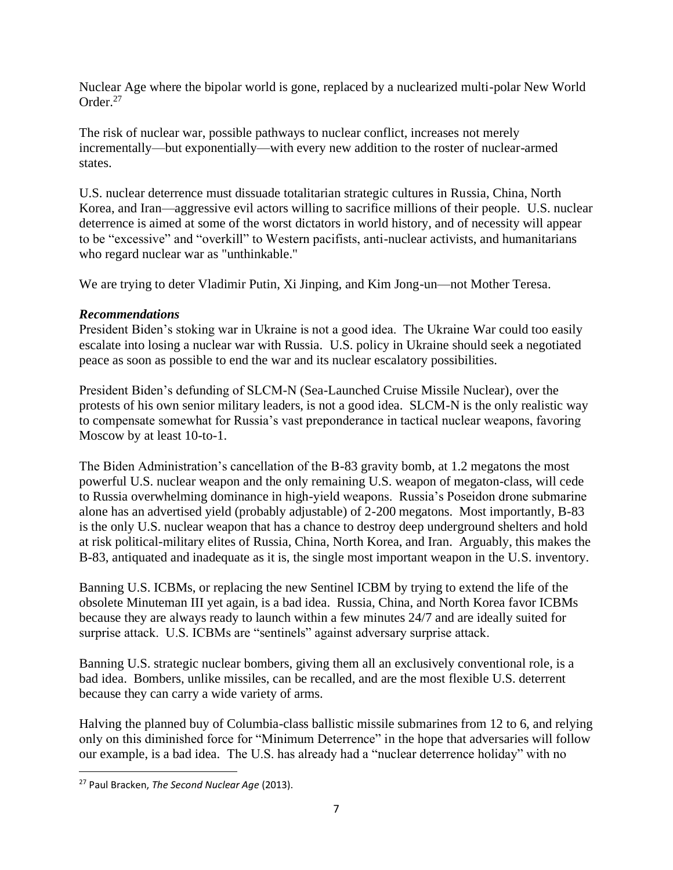Nuclear Age where the bipolar world is gone, replaced by a nuclearized multi-polar New World Order.<sup>27</sup>

The risk of nuclear war, possible pathways to nuclear conflict, increases not merely incrementally—but exponentially—with every new addition to the roster of nuclear-armed states.

U.S. nuclear deterrence must dissuade totalitarian strategic cultures in Russia, China, North Korea, and Iran—aggressive evil actors willing to sacrifice millions of their people. U.S. nuclear deterrence is aimed at some of the worst dictators in world history, and of necessity will appear to be "excessive" and "overkill" to Western pacifists, anti-nuclear activists, and humanitarians who regard nuclear war as "unthinkable."

We are trying to deter Vladimir Putin, Xi Jinping, and Kim Jong-un—not Mother Teresa.

### *Recommendations*

President Biden's stoking war in Ukraine is not a good idea. The Ukraine War could too easily escalate into losing a nuclear war with Russia. U.S. policy in Ukraine should seek a negotiated peace as soon as possible to end the war and its nuclear escalatory possibilities.

President Biden's defunding of SLCM-N (Sea-Launched Cruise Missile Nuclear), over the protests of his own senior military leaders, is not a good idea. SLCM-N is the only realistic way to compensate somewhat for Russia's vast preponderance in tactical nuclear weapons, favoring Moscow by at least 10-to-1.

The Biden Administration's cancellation of the B-83 gravity bomb, at 1.2 megatons the most powerful U.S. nuclear weapon and the only remaining U.S. weapon of megaton-class, will cede to Russia overwhelming dominance in high-yield weapons. Russia's Poseidon drone submarine alone has an advertised yield (probably adjustable) of 2-200 megatons. Most importantly, B-83 is the only U.S. nuclear weapon that has a chance to destroy deep underground shelters and hold at risk political-military elites of Russia, China, North Korea, and Iran. Arguably, this makes the B-83, antiquated and inadequate as it is, the single most important weapon in the U.S. inventory.

Banning U.S. ICBMs, or replacing the new Sentinel ICBM by trying to extend the life of the obsolete Minuteman III yet again, is a bad idea. Russia, China, and North Korea favor ICBMs because they are always ready to launch within a few minutes 24/7 and are ideally suited for surprise attack. U.S. ICBMs are "sentinels" against adversary surprise attack.

Banning U.S. strategic nuclear bombers, giving them all an exclusively conventional role, is a bad idea. Bombers, unlike missiles, can be recalled, and are the most flexible U.S. deterrent because they can carry a wide variety of arms.

Halving the planned buy of Columbia-class ballistic missile submarines from 12 to 6, and relying only on this diminished force for "Minimum Deterrence" in the hope that adversaries will follow our example, is a bad idea. The U.S. has already had a "nuclear deterrence holiday" with no

<sup>27</sup> Paul Bracken, *The Second Nuclear Age* (2013).